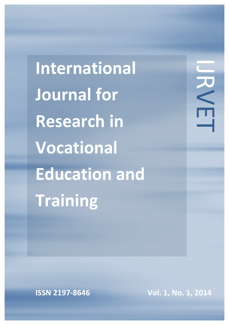**International Journal for Research in Vocational Education and Training** 

**ISSN 2197-8646 Vol. 1, No. 1, 2014**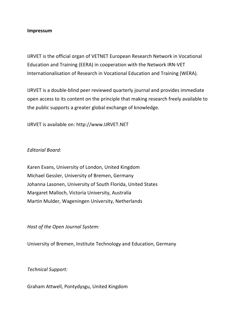## **Impressum**

IJRVET is the official organ of VETNET European Research Network in Vocational Education and Training (EERA) in cooperation with the Network IRN-VET Internationalisation of Research in Vocational Education and Training (WERA).

IJRVET is a double-blind peer reviewed quarterly journal and provides immediate open access to its content on the principle that making research freely available to the public supports a greater global exchange of knowledge.

IJRVET is available on: http://www.IJRVET.NET

## *Editorial Board:*

Karen Evans, University of London, United Kingdom Michael Gessler, University of Bremen, Germany Johanna Lasonen, University of South Florida, United States Margaret Malloch, Victoria University, Australia Martin Mulder, Wageningen University, Netherlands

*Host of the Open Journal System:* 

University of Bremen, Institute Technology and Education, Germany

*Technical Support:*

Graham Attwell, Pontydysgu, United Kingdom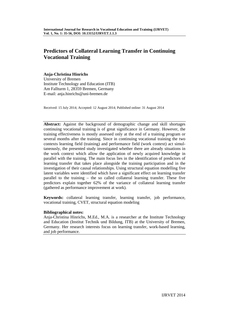# **Predictors of Collateral Learning Transfer in Continuing Vocational Training**

### **Anja-Christina Hinrichs**

University of Bremen Institute Technology and Education (ITB) Am Fallturm 1, 28359 Bremen, Germany E-mail: anja.hinrichs@uni-bremen.de

Received: 15 July 2014; Accepted: 12 August 2014; Published online: 31 August 2014

**Abstract:** Against the background of demographic change and skill shortages continuing vocational training is of great significance in Germany. However, the training effectiveness is mostly assessed only at the end of a training program or several months after the training. Since in continuing vocational training the two contexts learning field (training) and performance field (work context) act simultaneously, the presented study investigated whether there are already situations in the work context which allow the application of newly acquired knowledge in parallel with the training. The main focus lies in the identification of predictors of learning transfer that takes place alongside the training participation and in the investigation of their causal relationships. Using structural equation modelling five latent variables were identified which have a significant effect on learning transfer parallel to the training – the so called collateral learning transfer. These five predictors explain together 62% of the variance of collateral learning transfer (gathered as performance improvement at work).

**Keywords:** collateral learning transfer, learning transfer, job performance, vocational training, CVET, structural equation modeling

## **Bibliographical notes:**

Anja-Christina Hinrichs, M.Ed., M.A. is a researcher at the Institute Technology and Education (Institut Technik und Bildung, ITB) at the University of Bremen, Germany. Her research interests focus on learning transfer, work-based learning, and job performance.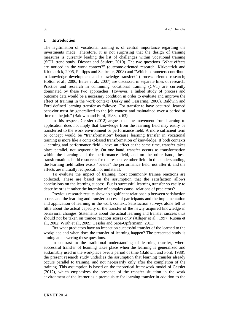#### **1 Introduction**

The legitimation of vocational training is of central importance regarding the investments made. Therefore, it is not surprising that the design of training measures is currently leading the list of challenges within vocational training (SCIL trend study, Diesner and Seufert, 2010). The two questions "What effects are noticed in the work context?" (outcome-oriented research; Kirkpatrick and Kirkpatrick, 2006, Philipps and Schirmer, 2008) and "Which parameters contribute to knowledge development and knowledge transfer?" (process-oriented research; Holton et al., 2000; Bates et al., 2007) are discussed in separate lines of research. Practice and research in continuing vocational training (CVT) are currently dominated by these two approaches. However, a linked study of process and outcome data would be a necessary condition in order to evaluate and improve the effect of training in the work context (Desky and Tessaring, 2006). Baldwin and Ford defined learning transfer as follows: "For transfer to have occurred, learned behavior must be generalized to the job context and maintained over a period of time on the job." (Baldwin and Ford, 1988, p. 63).

In this respect, Gessler (2012) argues that the movement from learning to application does not imply that knowledge from the learning field may easily be transferred to the work environment or performance field. A more sufficient term or concept would be "transformation" because learning transfer in vocational training is more like a context-based transformation of knowledge. If both contexts - learning and performance field - have an effect at the same time, transfer takes place parallel, not sequentially. On one hand, transfer occurs as transformation within the learning and the performance field, and on the other hand, these transformations build resources for the respective other field. In this understanding, the learning field rather exists "beside" the performance field, not after it, and the effects are mutually reciprocal, not unilateral.

To evaluate the impact of training, most commonly trainee reactions are collected. These are based on the assumption that the satisfaction allows conclusions on the learning success. But is successful learning transfer so easily to describe or is it rather the interplay of complex causal relations of predictors?

Previous research results show no significant relationship between satisfaction scores and the learning and transfer success of participants and the implementation and application of learning in the work context. Satisfaction surveys alone tell us little about the actual capacity of the transfer of the newly acquired knowledge in behavioral changes. Statements about the actual learning and transfer success thus should not be taken on trainee reaction scores only (Alliger et al., 1997; Ruona et al., 2002; Wirth et al., 2009; Gessler and Sebe-Opfermann, 2011).

But what predictors have an impact on successful transfer of the learned to the workplace and when does the transfer of learning happen? The presented study is aiming at answering these questions.

In contrast to the traditional understanding of learning transfer, where successful transfer of learning takes place when the learning is generalized and sustainably used in the workplace over a period of time (Baldwin and Ford, 1988), the present research study underlies the assumption that learning transfer already occurs parallel to training, and not necessarily only after the completion of the training. This assumption is based on the theoretical framework model of Gessler (2012), which emphasizes the presence of the transfer situation in the work environment of the learner as a prerequisite for learning transfer in addition to the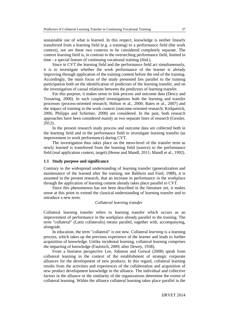sustainable use of what is learned. In this respect, knowledge is neither linearly transferred from a learning field (e.g. a training) to a performance field (the work context), nor are these two contexts to be considered completely separate. The context learning field is, in contrast to the overarching performance field, limited in time - a special feature of continuing vocational training (ibid.).

Since in CVT the learning field and the performance field act simultaneously, it is to investigate whether the work performance of the learner is already improving through application of the training content before the end of the training. Accordingly, the main focus of the study presented lies parallel to the training participation both on the identification of predictors of the learning transfer, and on the investigation of causal relations between the predictors of learning transfer.

For this purpose, it makes sense to link process and outcome data (Descy and Tessaring, 2006). In such coupled investigations both the learning and transfer processes (process-oriented research; Holton et al., 2000; Bates et al., 2007) and the impact of training in the work context (outcome-oriented research; Kirkpatrick, 2006, Philipps and Schirmer, 2008) are considered. In the past, both research approaches have been considered mainly as two separate lines of research (Gessler, 2012).

In the present research study process and outcome data are collected both in the learning field and in the performance field to investigate learning transfer (as improvement in work performance) during CVT.

The investigation thus takes place on the meso-level of the transfer term as newly learned is transferred from the learning field (source) to the performance field (real application context, target) (Hense and Mandl, 2011; Mandl et al., 1992).

#### **1.1 Study purpose and significance**

Contrary to the widespread understanding of learning transfer (generalization and maintenance of the learned after the training, see Baldwin and Ford, 1988), it is assumed in the present research, that an increase in performance in the workplace through the application of learning content already takes place parallel to CVT.

Since this phenomenon has not been described in the literature yet, it makes sense at this point to extend the classical understanding of learning transfer and to introduce a new term:

#### *Collateral learning transfer*

Collateral learning transfer refers to learning transfer which occurs as an improvement of performance in the workplace already parallel to the training. The term "collateral" (Latin collateralis) means parallel, together with, accompanying, alongside.

In education, the term "collateral" is not new. Collateral *learning* is a learning process, which takes up the previous experience of the learner and leads to further acquisition of knowledge. Unlike incidental learning, collateral learning comprises the imparting of knowledge (Faulstich, 2009; after Dewey, 1938).

From a business perspective Lee, Johnson and Grewal (2008) speak from collateral learning in the context of the establishment of strategic corporate alliances for the development of new products. In this regard, collateral learning results from the activities and experiences of the collaboration and acquisition of new product development knowledge in the alliance. The individual and collective factors in the alliance or the similarity of the organizations determine the extent of collateral learning. Within the alliance collateral learning takes place parallel in the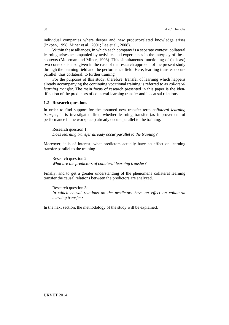individual companies where deeper and new product-related knowledge arises (Inkpen, 1998; Miner et al., 2001; Lee et al., 2008).

Within these alliances, in which each company is a separate context, collateral learning arises accompanied by activities and experiences in the interplay of these contexts (Moorman and Miner, 1998). This simultaneous functioning of (at least) two contexts is also given in the case of the research approach of the present study through the learning field and the performance field. Here, learning transfer occurs parallel, thus collateral, to further training.

For the purposes of this study, therefore, transfer of learning which happens already accompanying the continuing vocational training is referred to as *collateral learning transfer*. The main focus of research presented in this paper is the identification of the predictors of collateral learning transfer and its causal relations.

#### **1.2 Research questions**

In order to find support for the assumed new transfer term *collateral learning transfer*, it is investigated first, whether learning transfer (as improvement of performance in the workplace) already occurs parallel to the training.

Research question 1: *Does learning transfer already occur parallel to the training?*

Moreover, it is of interest, what predictors actually have an effect on learning transfer parallel to the training.

Research question 2: *What are the predictors of collateral learning transfer?*

Finally, and to get a greater understanding of the phenomena collateral learning transfer the causal relations between the predictors are analyzed.

Research question 3: *In which causal relations do the predictors have an effect on collateral learning transfer?*

In the next section, the methodology of the study will be explained.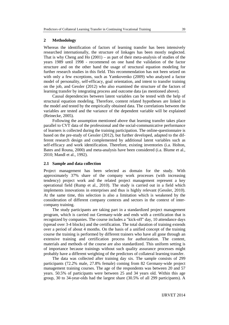#### **2 Methodology**

Whereas the identification of factors of learning transfer has been intensively researched internationally, the structure of linkages has been mostly neglected. That is why Cheng and Ho (2001) – as part of their meta-analysis of studies of the years 1989 until 1998 - recommend on one hand the validation of the factor structure and on the other hand the usage of structural equation modeling for further research studies in this field. This recommendation has not been seized on with only a few exceptions, such as Yamkovenko (2009) who analyzed a factor model of personality, self-efficacy, goal orientation, and intent to transfer training on the job, and Gessler (2012) who also examined the structure of the factors of learning transfer by integrating process and outcome data (as mentioned above).

Causal dependencies between latent variables can be tested with the help of structural equation modeling. Therefore, content related hypotheses are linked in the model and tested by the empirically obtained data. The correlations between the variables are tested and the variance of the dependent variable will be explained (Reinecke, 2005).

Following the assumption mentioned above that learning transfer takes place parallel to CVT data of the professional and the social-communicative performance of learners is collected during the training participation. The online-questionnaire is based on the pre-study of Gessler (2012), but further developed, adapted to the different research design and complemented by additional latent variables such as self-efficacy and work identification. Therefore, existing inventories (i.a. Holton, Bates and Rouna, 2000) and meta-analysis have been considered (i.a. Blume et al., 2010; Mandl et al., 1992).

#### **2.1 Sample and data collection**

Project management has been selected as domain for the study. With approximately 37% share of the company work processes (with increasing tendency) project work and the related project management represent a key operational field (Rump et al., 2010). The study is carried out in a field which implements innovations in enterprises and thus is highly relevant (Gessler, 2010). At the same time, this selection is also a limitation which is weakened by the consideration of different company contexts and sectors in the context of intercompany training.

The study participants are taking part in a standardized project management program, which is carried out Germany-wide and ends with a certification that is recognized by companies. The course includes a "kick-off" day, 10 attendance days (spread over 3-4 blocks) and the certification. The total duration of training extends over a period of about 4 months. On the basis of a unified concept of the training course the training is performed by different trainers who have all gone through an extensive training and certification process for authorization. The content, materials and methods of the course are also standardized. This uniform setting is of importance because trainings without such quality assurance processes might probably have a different weighting of the predictors of collateral learning transfer.

The data was collected after training day six. The sample consists of 299 participants (72.2% male, 27.8% female) coming from 82 Germany-wide project management training courses. The age of the respondents was between 20 and 57 years. 50.5% of participants were between 25 and 34 years old. Within this age group, 30 to 34-year-olds had the largest share (30.5% of all 299 participants). A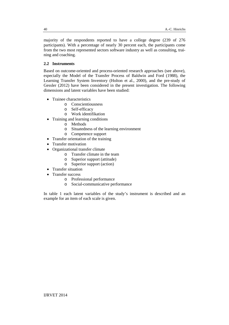majority of the respondents reported to have a college degree (239 of 276 participants). With a percentage of nearly 30 percent each, the participants come from the two most represented sectors software industry as well as consulting, training and coaching.

## **2.2 Instruments**

Based on outcome-oriented and process-oriented research approaches (see above), especially the Model of the Transfer Process of Baldwin and Ford (1988), the Learning Transfer System Inventory (Holton et al., 2000), and the pre-study of Gessler (2012) have been considered in the present investigation. The following dimensions and latent variables have been studied:

- Trainee characteristics
	- o Conscientiousness
	- o Self-efficacy
	- o Work identifikation
- Training and learning conditions
	- o Methods
	- o Situatedness of the learning environment
	- o Competence support
- Transfer orientation of the training
- Transfer motivation
- Organizational transfer climate
	- o Transfer climate in the team
	- o Superior support (attitude)
	- o Superior support (action)
- Transfer situation
- Transfer success
	- o Professional performance
	- o Social-communicative performance

In table 1 each latent variables of the study's instrument is described and an example for an item of each scale is given.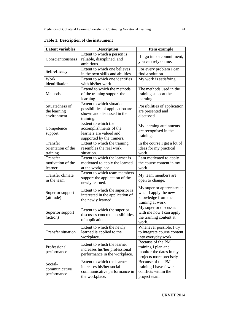| <b>Latent variables</b>                        | <b>Description</b>                                                                                         | Item example                                                                                    |  |
|------------------------------------------------|------------------------------------------------------------------------------------------------------------|-------------------------------------------------------------------------------------------------|--|
| Conscientiousness                              | Extent to which a person is<br>reliable, disciplined, and<br>ambitious.                                    | If I go into a commitment,<br>you can rely on me.                                               |  |
| Self-efficacy                                  | Extent to which one believes<br>in the own skills and abilities.                                           | For every problem I can<br>find a solution.                                                     |  |
| Work<br>identifikation                         | Extent to which one identifies<br>with his/her work.                                                       | My work is satisfying.                                                                          |  |
| Methods                                        | Extend to which the methods<br>of the training support the<br>learning.                                    | The methods used in the<br>training support the<br>learning.                                    |  |
| Situatedness of<br>the learning<br>environment | Extent to which situational<br>possibilities of application are<br>shown and discussed in the<br>training. | Possibilities of application<br>are presented and<br>discussed.                                 |  |
| Competence<br>support                          | Extent to which the<br>accomplishments of the<br>learners are valued and<br>supported by the trainers.     | My learning attainments<br>are recognised in the<br>training.                                   |  |
| Transfer<br>orientation of the<br>training     | Extent to which the training<br>resembles the real work<br>situation.                                      | In the course I get a lot of<br>ideas for my practical<br>work.                                 |  |
| Transfer<br>motivation of the<br>learner       | Extent to which the learner is<br>motivated to apply the learned<br>at the workplace.                      | I am motivated to apply<br>the course content in my<br>work.                                    |  |
| Transfer climate<br>in the team                | Extent to which team members<br>support the application of the<br>newly learned.                           | My team members are<br>open to change.                                                          |  |
| Superior support<br>(attitude)                 | Extent to which the superior is<br>interested in the application of<br>the newly learned.                  | My superior appreciates it<br>when I apply the new<br>knowledge from the<br>training at work.   |  |
| Superior support<br>(action)                   | Extent to which the superior<br>discusses concrete possibilities<br>of application.                        | My superior discusses<br>with me how I can apply<br>the training content at<br>work.            |  |
| Transfer situation                             | Extent to which the newly<br>learned is applied to the<br>workplace.                                       | Whenever possible, I try<br>to integrate course content<br>into everyday work.                  |  |
| Professional<br>performance                    | Extent to which the learner<br>increases his/her professional<br>performance in the workplace.             | Because of the PM<br>training I plan and<br>monitor the dates in my<br>projects more precisely. |  |
| Social-<br>communicative<br>performance        | Extent to which the learner<br>increases his/her social-<br>communicative performance in<br>the workplace. | Because of the PM<br>training I have fewer<br>conflicts within the<br>project team.             |  |

**Table 1: Description of the instrument**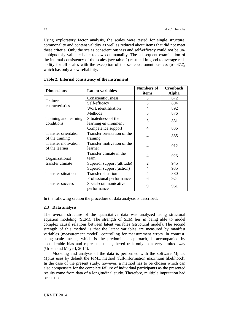Using exploratory factor analysis, the scales were tested for single structure, commonality and content validity as well as reduced about items that did not meet these criteria. Only the scales conscientiousness and self-efficacy could not be unambiguously validated due to low communality. The subsequent examination of the internal consistency of the scales (see table 2) resulted in good to average reliability for all scales with the exception of the scale conscientiousness ( $\alpha$ =.672), which has only a low reliability.

| <b>Dimensions</b>                   | <b>Latent variables</b>     | <b>Numbers of</b>        | <b>Cronbach</b> |
|-------------------------------------|-----------------------------|--------------------------|-----------------|
|                                     |                             | items                    | <b>Alpha</b>    |
| Trainee<br>characteristics          | Conscientiousness           | 5                        | .672            |
|                                     | Self-efficacy               | 5                        | .804            |
|                                     | Work identifikation         | $\overline{4}$           | .892            |
| Training and learning<br>conditions | Methods                     | 5                        | .876            |
|                                     | Situatedness of the         | 3                        | .831            |
|                                     | learning environment        |                          |                 |
|                                     | Competence support          | $\overline{\mathcal{A}}$ | .836            |
| <b>Transfer orientation</b>         | Transfer orientation of the | 4                        | .885            |
| of the training                     | training                    |                          |                 |
| <b>Transfer motivation</b>          | Transfer motivation of the  | 4                        | .912            |
| of the learner                      | learner                     |                          |                 |
|                                     | Transfer climate in the     | 4                        | .923            |
| Organizational<br>transfer climate  | team                        |                          |                 |
|                                     | Superior support (attitude) | $\mathfrak{D}$           | .945            |
|                                     | Superior support (action)   | 4                        | .935            |
| <b>Transfer situation</b>           | <b>Transfer situation</b>   | 4                        | .880            |
| Transfer success                    | Professional performance    | 6                        | .924            |
|                                     | Social-communicative        | 9                        | .961            |
|                                     | performance                 |                          |                 |

**Table 2: Internal consistency of the instrument**

In the following section the procedure of data analysis is described.

## **2.3 Data analysis**

The overall structure of the quantitative data was analyzed using structural equation modeling (SEM). The strength of SEM lies in being able to model complex causal relations between latent variables (structural model). The second strength of this method is that the latent variables are measured by manifest variables (measurement model), controlling for measurement errors. In contrast, using scale means, which is the predominant approach, is accompanied by considerable bias and represents the gathered trait only in a very limited way (Urban and Mayerl, 2014).

Modeling and analysis of the data is performed with the software Mplus. Mplus uses by default the FIML method (full-information maximum likelihood). In the case of the present study, however, a method has to be chosen which can also compensate for the complete failure of individual participants as the presented results come from data of a longitudinal study. Therefore, multiple imputation had been used.

42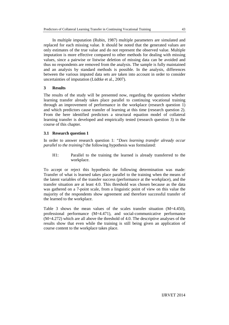In multiple imputation (Rubin, 1987) multiple parameters are simulated and replaced for each missing value. It should be noted that the generated values are only estimates of the true value and do not represent the observed value. Multiple imputation is more effective compared to other methods for dealing with missing values, since a pairwise or listwise deletion of missing data can be avoided and thus no respondents are removed from the analysis. The sample is fully maintained and an analysis by standard methods is possible. In the analysis, differences between the various imputed data sets are taken into account in order to consider uncertainties of imputation (Lüdtke et al., 2007).

#### **3 Results**

The results of the study will be presented now, regarding the questions whether learning transfer already takes place parallel to continuing vocational training through an improvement of performance in the workplace (research question 1) and which predictors cause transfer of learning at this time (research question 2). From the here identified predictors a structural equation model of collateral learning transfer is developed and empirically tested (research question 3) in the course of this chapter.

## **3.1 Research question 1**

In order to answer research question 1: *"Does learning transfer already occur parallel to the training?* the following hypothesis was formulated:

H1: Parallel to the training the learned is already transferred to the workplace.

To accept or reject this hypothesis the following determination was made: Transfer of what is learned takes place parallel to the training when the means of the latent variables of the transfer success (performance at the workplace), and the transfer situation are at least 4.0. This threshold was chosen because as the data was gathered on a 7-point scale, from a linguistic point of view on this value the majority of the respondents show agreement and therefore successful transfer of the learned to the workplace.

Table 3 shows the mean values of the scales transfer situation (M=4.450), professional performance (M=4.471), and social-communicative performance (M=4.272) which are all above the threshold of 4.0. The descriptive analyses of the results show that even while the training is still being given an application of course content to the workplace takes place.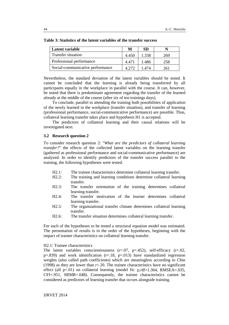| Latent variable                  | M       | SD.   |     |
|----------------------------------|---------|-------|-----|
| Transfer situation               | 4.450   | 1.338 | 269 |
| Professional performance         | 4.471   | 1.486 | 258 |
| Social-communicative performance | 4 2 7 2 | 1474  | 261 |

**Table 3: Statistics of the latent variables of the transfer success**

Nevertheless, the standard deviation of the latent variables should be noted. It cannot be concluded that the learning is already being transferred by all participants equally in the workplace in parallel with the course. It can, however, be noted that there is predominant agreement regarding the transfer of the learned already at the middle of the course (after six of ten trainings days).

To conclude, parallel to attending the training both possibilities of application of the newly learned in the workplace (transfer situation), and transfer of learning (professional performance, social-communicative performance) are possible. Thus, collateral learning transfer takes place and hypothesis H1 is accepted.

The predictors of collateral learning and their causal relations will be investigated next.

#### **3.2 Research question 2**

To consider research question 2: "*What are the predictors of collateral learning transfer?*" the effects of the collected latent variables on the learning transfer (gathered as professional performance and social-communicative performance) are analyzed. In order to identify predictors of the transfer success parallel to the training, the following hypotheses were tested:

- H2.1: The trainee characteristics determine collateral learning transfer.
- H2.2: The training and learning conditions determine collateral learning transfer.
- H2.3: The transfer orientation of the training determines collateral learning transfer.
- H2.4: The transfer motivation of the learner determines collateral learning transfer.
- H2.5: The organizational transfer climate determines collateral learning transfer.
- H2.6: The transfer situation determines collateral learning transfer.

For each of the hypotheses to be tested a structural equation model was estimated. The presentation of results is in the order of the hypotheses, beginning with the impact of trainee characteristics on collateral learning transfer.

#### H2.1: Trainee characteristics

The latent variables conscientiousness  $(r=.07, p=.452)$ , self-efficacy  $(r=.02, p=.02)$  $p=.839$ ) and work identification ( $r=.18$ ,  $p=.013$ ) have standardized regression weights (also called path coefficients) which are meaningless according to Chin (1998) as they are lower than r<.20. The trainee characteristics have no significant effect (all  $p<01$ ) on collateral learning (model fit:  $\chi$ <sub>2</sub>/df=1.364, RMSEA=.035, CFI=.951, SRMR=.048). Consequently, the trainee characteristics cannot be considered as predictors of learning transfer that occurs alongside training.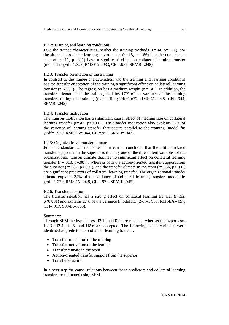#### H2.2: Training and learning conditions

Like the trainee characteristics, neither the training methods  $(r=.04, p=.721)$ , nor the situatedness of the learning environment ( $r=18$ ,  $p=.186$ ), nor the competence support  $(r=11, p=.321)$  have a significant effect on collateral learning transfer (model fit: χ2/df=1.328, RMSEA=.033, CFI=.956, SRMR=.048).

#### H2.3: Transfer orientation of the training

In contrast to the trainee characteristics, and the training and learning conditions has the transfer orientation of the training a significant effect on collateral learning transfer ( $p < .001$ ). The regression has a medium weight ( $r = .41$ ). In addition, the transfer orientation of the training explains 17% of the variance of the learning transfers during the training (model fit:  $\chi$ 2/df=1.677, RMSEA=.048, CFI=.944, SRMR=.045).

#### H2.4: Transfer motivation

The transfer motivation has a significant causal effect of medium size on collateral learning transfer (r=.47, p<0.001). The transfer motivation also explains 22% of the variance of learning transfer that occurs parallel to the training (model fit: χ2/df=1.570, RMSEA=.044, CFI=.952, SRMR=.043).

#### H2.5: Organizational transfer climate

From the standardized model results it can be concluded that the attitude-related transfer support from the superior is the only one of the three latent variables of the organizational transfer climate that has no significant effect on collateral learning transfer  $(r = .013, p = .887)$ . Whereas both the action-oriented transfer support from the superior ( $r = 0.282$ ,  $p < 0.001$ ), and the transfer climate in the team ( $r = 0.356$ ,  $p < 0.001$ ) are significant predictors of collateral learning transfer. The organizational transfer climate explains 34% of the variance of collateral learning transfer (model fit: χ2/df=1.229, RMSEA=.028, CFI=.972, SRMR=.045).

#### H2.6: Transfer situation

The transfer situation has a strong effect on collateral learning transfer  $(r=.52)$ ,  $p\leq 0.001$ ) and explains 27% of the variance (model fit:  $\gamma$ 2/df=1.980, RMSEA= 057, CFI=.917, SRMR=.063).

#### Summary:

Through SEM the hypotheses H2.1 and H2.2 are rejected, whereas the hypotheses H2.3, H2.4, H2.5, and H2.6 are accepted. The following latent variables were identified as predictors of collateral learning transfer:

- Transfer orientation of the training
- Transfer motivation of the learner
- Transfer climate in the team
- Action-oriented transfer support from the superior
- Transfer situation

In a next step the causal relations between these predictors and collateral learning transfer are estimated using SEM.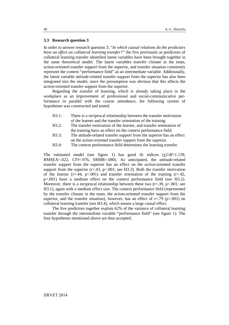#### **3.3 Research question 3**

In order to answer research question 3: "*In which causal relations do the predictors have an effect on collateral learning transfer?"* the five previously as predictors of collateral learning transfer identified latent variables have been brought together in the same theoretical model. The latent variables transfer climate in the team, action-oriented transfer support from the superior, and transfer situation commonly represent the context "performance field" as an intermediate variable. Additionally, the latent variable *attitude*-related transfer support from the superior has also been integrated into the model, since the presumption was obvious that this affects the *action*-oriented transfer support from the superior.

Regarding the transfer of learning, which is already taking place in the workplace as an improvement of professional and social-communicative performance in parallel with the course attendance, the following system of hypotheses was constructed and tested:

- H3.1: There is a reciprocal relationship between the transfer motivation of the learner and the transfer orientation of the training.
- H3.2: The transfer motivation of the learner, and transfer orientation of the training have an effect on the context performance field.
- H3.3: The attitude-related transfer support from the superior has an effect on the action-oriented transfer support from the superior.
- H3.4: The context performance field determines the learning transfer.

The estimated model (see figure 1) has good fit indices  $(\chi^2/df=1.139)$ , RMSEA=.022, CFI=.976, SRMR=.080). As anticipated, the *attitude*-related transfer support from the superior has an effect on the *action*-oriented transfer support from the superior (r=.43, p<.001; see H3.3). Both the transfer motivation of the learner (r=.44, p<.001) and transfer orientation of the training (r=.42, p<.001) have a medium effect on the context performance field (see H3.2). Moreover, there is a reciprocal relationship between these two  $(r=.39, p<.001;$  see H3.1), again with a medium effect size. The context performance field (represented by the transfer climate in the team, the action-oriented transfer support from the superior, and the transfer situation), however, has an effect of  $r = .79$  ( $p < .001$ ) on collateral learning transfer (see H3.4), which means a large causal effect.

The five predictors together explain 62% of the variance of collateral learning transfer through the intermediate variable "performance field" (see figure 1). The four hypotheses mentioned above are thus accepted.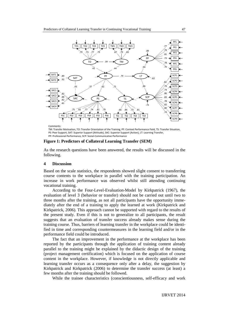

Comments:

TM: Transfer Motivation, TO: Transfer Orientation of the Training, PF: Context Performance Field, TS: Transfer Situation, PS: Peer Support, SAT: Superior Support (Attitude), SAC: Superior Support (Action), LT: Learning Transfer, PP: Professional Performance, SCP: Sozial-Communicative Performance

#### **Figure 1: Predictors of Collateral Learning Transfer (SEM)**

As the research questions have been answered, the results will be discussed in the following.

### **4 Discussion**

Based on the scale statistics, the respondents showed slight consent to transferring course contents to the workplace in parallel with the training participation. An increase in work performance was observed whilst still attending continuing vocational training.

According to the Four-Level-Evaluation-Model by Kirkpatrick (1967), the evaluation of level 3 (behavior or transfer) should not be carried out until two to three months after the training, as not all participants have the opportunity immediately after the end of a training to apply the learned at work (Kirkpatrick and Kirkpatrick, 2006). This approach cannot be supported with regard to the results of the present study. Even if this is not to generalize to all participants, the result suggests that an evaluation of transfer success already makes sense during the training course. Thus, barriers of learning transfer in the workplace could be identified in time and corresponding countermeasures in the learning field and/or in the performance field could be introduced.

The fact that an improvement in the performance at the workplace has been reported by the participants through the application of training content already parallel to the training might be explained by the didactic design of the training (project management certification) which is focused on the application of course content in the workplace. However, if knowledge is not directly applicable and learning transfer occurs as a consequence only after a delay, the suggestion by Kirkpatrick and Kirkpatrick (2006) to determine the transfer success (at least) a few months after the training should be followed.

While the trainee characteristics (conscientiousness, self-efficacy and work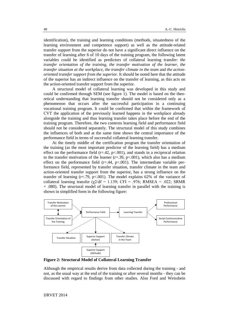identification), the training and learning conditions (methods, situatedness of the learning environment and competence support) as well as the attitude-related transfer support from the superior do not have a significant direct influence on the transfer of learning after 6 of 10 days of the training program, the following latent variables could be identified as predictors of collateral learning transfer: *the transfer orientation of the training*, *the transfer motivation of the learner*, *the transfer situation at the workplace*, *the transfer climate in the team* and *the actionoriented transfer support from the superior*. It should be noted here that the attitude of the superior has an indirect influence on the transfer of learning, as this acts on the action-oriented transfer support from the superior.

A structural model of collateral learning was developed in this study and could be confirmed through SEM (see figure 1). The model is based on the theoretical understanding that learning transfer should not be considered only as a phenomenon that occurs after the successful participation in a continuing vocational training program. It could be confirmed that within the framework of CVT the application of the previously learned happens in the workplace already alongside the training and thus learning transfer takes place before the end of the training program. Therefore, the two contexts learning field and performance field should not be considered separately. The structural model of this study combines the influences of both and at the same time shows the central importance of the performance field in terms of successful collateral learning transfer.

At the timely middle of the certification program the transfer orientation of the training (as the most important predictor of the learning field) has a medium effect on the performance field  $(r=.42, p<.001)$ , and stands in a reciprocal relation to the transfer motivation of the learner ( $r = .39$ ,  $p < .001$ ), which also has a medium effect on the performance field ( $r = .44$ ,  $p < .001$ ). The intermediate variable performance field, represented by transfer situation, transfer climate in the team and action-oriented transfer support from the superior, has a strong influence on the transfer of learning ( $r = .79$ ,  $p < .001$ ). The model explains 62% of the variance of collateral learning transfer  $(\chi/2/df = 1.139)$ ; CFI = .976; RMSEA = .022; SRMR = .080). The structural model of learning transfer in parallel with the training is shown in simplified form in the following figure:



**Figure 2: Structural Model of Collateral Learning Transfer**

Although the empirical results derive from data collected during the training - and not, as the usual way at the end of the training or after several months - they can be discussed with regard to findings from other studies. Also Ford and Weissbein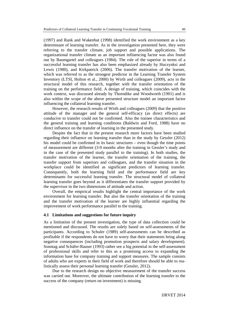(1997) and Rank and Wakenhut (1998) identified the work environment as a key determinant of learning transfer. As in the investigation presented here, they were referring to the transfer climate, job support and possible applications. The organizational transfer climate as an important influencing factor was also found out by Baumgartel and colleagues (1984). The role of the superior in terms of a successful learning transfer has also been emphasized already by Huczynksi and Lewis (1980), and Kirkpatrick (2006). The transfer motivation of the learner, which was referred to as the strongest predictor in the Learning Transfer System Inventory (LTSI, Holton et al., 2000) by Wirth and colleagues (2009), acts in the structural model of this research, together with the transfer orientation of the training on the performance field. A design of training, which coincides with the work context, was discussed already by Thorndike and Woodworth (1901) and is also within the scope of the above presented structure model an important factor influencing the collateral learning transfer.

However, the research results of Wirth and colleagues (2009) that the positive attitude of the manager and the general self-efficacy (as direct effects) are conducive to transfer could not be confirmed. Also the trainee characteristics and the general training and learning conditions (Baldwin and Ford, 1988) have no direct influence on the transfer of learning in the presented study.

Despite the fact that in the present research more factors have been studied regarding their influence on learning transfer than in the study by Gessler (2012) his model could be confirmed in its basic structures – even though the time points of measurement are different (3-9 months after the training in Gessler's study and in the case of the presented study parallel to the training). In both studies, the transfer motivation of the learner, the transfer orientation of the training, the transfer support from superiors and colleagues, and the transfer situation in the workplace could be identified as significant predictors of learning transfer. Consequently, both the learning field and the performance field are key determinants for successful learning transfer. The structural model of collateral learning transfer goes beyond as it differentiates the transfer support provided by the supervisor in the two dimensions of attitude and action.

Overall, the empirical results highlight the central importance of the work environment for learning transfer. But also the transfer orientation of the training and the transfer motivation of the learner are highly influential regarding the improvement of work performance parallel to the training.

#### **4.1 Limitations and suggestions for future inquiry**

As a limitation of the present investigation, the type of data collection could be mentioned and discussed. The results are solely based on self-assessments of the participants. According to Schuler (1989) self-assessments can be described as profitable if the respondents do not have to worry that their statements bring along negative consequences (including promotion prospects and salary development). Sonntag and Schäfer-Rauser (1993) rather see a big potential in the self-assessment of professional skills and refer to this as a promising access to expanding the information base for company training and support measures. The sample consists of adults who are experts in their field of work and therefore should be able to realistically assess their personal learning transfer (Gessler, 2012).

Due to the research design no objective measurement of the transfer success was carried out. Moreover, the ultimate contribution of the learning transfer to the success of the company (return on investment) is missing.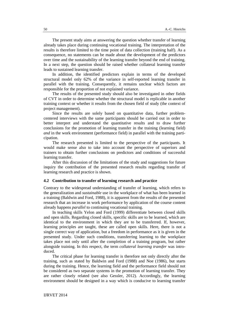The present study aims at answering the question whether transfer of learning already takes place during continuing vocational training. The interpretation of the results is therefore limited to the time point of data collection (training half). As a consequence, no statements can be made about the development of the predictors over time and the sustainability of the learning transfer beyond the end of training. In a next step, the question should be raised whether collateral learning transfer leads to sustained learning transfer.

In addition, the identified predictors explain in terms of the developed structural model only 62% of the variance in self-reported learning transfer in parallel with the training. Consequently, it remains unclear which factors are responsible for the proportion of not explained variance.

The results of the presented study should also be investigated in other fields of CVT in order to determine whether the structural model is replicable in another training context or whether it results from the chosen field of study (the context of project management).

Since the results are solely based on quantitative data, further problemcentered interviews with the same participants should be carried out in order to better interpret and understand the quantitative results and to draw further conclusions for the promotion of learning transfer in the training (learning field) *and* in the work environment (performance field) in parallel with the training participation.

The research presented is limited to the perspective of the participants. It would make sense also to take into account the perspective of superiors and trainers to obtain further conclusions on predictors and conditions of successful learning transfer.

After this discussion of the limitations of the study and suggestions for future inquiry the contribution of the presented research results regarding transfer of learning research and practice is shown.

#### **4.2 Contribution to transfer of learning research and practice**

Contrary to the widespread understanding of transfer of learning, which refers to the generalization and *sustainable* use in the workplace of what has been learned in a training (Baldwin and Ford, 1988), it is apparent from the results of the presented research that an increase in work performance by application of the course content already happens *parallel* to continuing vocational training.

In teaching skills Yelon and Ford (1999) differentiate between closed skills and open skills. Regarding closed skills, specific skills are to be learned, which are identical to the environment in which they are to be transferred. If, however, learning principles are taught, these are called open skills. Here, there is not a single correct way of application, but a freedom in performance as it is given in the presented study. Under such conditions, transferring learning to the workplace takes place not only until after the completion of a training program, but rather alongside training. In this respect, the term *collateral learning transfer* was introduced.

The critical phase for learning transfer is therefore not only directly after the training, such as stated by Baldwin and Ford (1988) and Noe (1986), but starts during the training. Hence, the learning field and the performance field should not be considered as two separate systems in the promotion of learning transfer. They are rather closely related (see also Gessler, 2012). Accordingly, the learning environment should be designed in a way which is conducive to learning transfer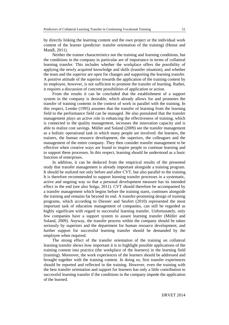by directly linking the learning content and the own project or the individual work content of the learner (predictor: transfer orientation of the training) (Hense and Mandl, 2011).

Neither the trainee characteristics nor the training and learning conditions, but the conditions in the company in particular are of importance in terms of collateral learning transfer. This includes whether the workplace offers the possibility of applying the newly acquired knowledge and skills (transfer situation), and whether the team and the superior are open for changes and supporting the learning transfer. A positive attitude of the superior towards the application of the training content by its employee, however, is not sufficient to promote the transfer of learning. Rather, it requires a discussion of concrete possibilities of application or action.

From the results it can be concluded that the establishment of a support system in the company is desirable, which already allows for and promotes the transfer of training contents in the context of work in parallel with the training. In this respect, Lemke (1995) assumes that the transfer of learning from the learning field to the performance field can be managed. He also postulated that the transfer management plays an active role in enhancing the effectiveness of training, which is connected to the quality management, increases the innovation capacity and is able to realize cost savings. Müller and Soland (2009) see the transfer management as a holistic operational task in which many people are involved: the learners, the trainers, the human resource development, the superiors, the colleagues and the management of the entire company. They then consider transfer management to be effective when creative ways are found to inspire people to continue learning and to support these processes. In this respect, learning should be understood as a basic function of enterprises.

In addition, it can be deduced from the empirical results of the presented study that transfer management is already important alongside a training program. It should be realized not only before and after CVT, but also parallel to the training. It is therefore recommended to support learning transfer processes in a systematic, active and ongoing way so that a personal development measure has its intended effect in the end (see also Solga, 2011). CVT should therefore be accompanied by a transfer management which begins before the training starts, continues alongside the training and remains far beyond its end. A transfer-promoting design of training programs, which according to Diesner and Seufert (2010) represented the most important task of education management of companies, can still be regarded as highly significant with regard to successful learning transfer. Unfortunately, only few companies have a support system to assure learning transfer (Müller and Soland, 2009). Anyway, the transfer process within the company should be taken seriously by superiors and the department for human resource development, and further support for successful learning transfer should be demanded by the employee when required.

The strong effect of the transfer orientation of the training on collateral learning transfer shows how important it is to highlight possible applications of the training content into practice (the workplace of the learners) in the learning field (training). Moreover, the work experiences of the learners should be addressed and brought together with the training content. In doing so, first transfer experiences should be reported and reflected in the training. However, even the training with the best transfer orientation and support for learners has only a little contribution to successful learning transfer if the conditions in the company impede the application of the learned.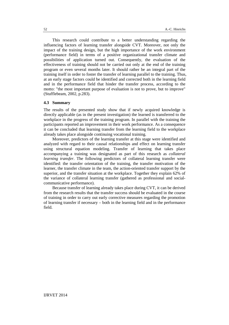This research could contribute to a better understanding regarding the influencing factors of learning transfer alongside CVT. Moreover, not only the impact of the training design, but the high importance of the work environment (performance field) in terms of a positive organizational transfer climate and possibilities of application turned out. Consequently, the evaluation of the effectiveness of training should not be carried out only at the end of the training program or even several months later. It should rather be an integral part of the training itself in order to foster the transfer of learning parallel to the training. Thus, at an early stage factors could be identified and corrected both in the learning field and in the performance field that hinder the transfer process, according to the motto: "the most important purpose of evaluation is not to prove, but to improve" (Stufflebeam, 2002, p.283).

#### **4.3 Summary**

The results of the presented study show that if newly acquired knowledge is directly applicable (as in the present investigation) the learned is transferred to the workplace in the progress of the training program. In parallel with the training the participants reported an improvement in their work performance. As a consequence it can be concluded that learning transfer from the learning field to the workplace already takes place alongside continuing vocational training.

Moreover, predictors of the learning transfer at this stage were identified and analyzed with regard to their causal relationships and effect on learning transfer using structural equation modeling. Transfer of learning that takes place accompanying a training was designated as part of this research as *collateral learning transfer*. The following predictors of collateral learning transfer were identified: the transfer orientation of the training, the transfer motivation of the learner, the transfer climate in the team, the action-oriented transfer support by the superior, and the transfer situation at the workplace. Together they explain 62% of the variance of collateral learning transfer (gathered as professional and socialcommunicative performance).

Because transfer of learning already takes place during CVT, it can be derived from the research results that the transfer success should be evaluated in the course of training in order to carry out early corrective measures regarding the promotion of learning transfer if necessary – both in the learning field and in the performance field.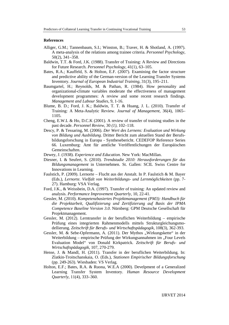#### **References**

- Alliger, G.M.; Tannenbaum, S.I.; Winston, B.; Traver, H. & Shotland, A. (1997). A meta-analysis of the relations among trainee criteria. *Personnel Psychology,*  50(2), 341–358.
- Baldwin, T.T. & Ford, J.K. (1988). Transfer of Training: A Review and Directions for Future Research. *Personnel Psychology*, 41(1), 63–105.
- Bates, R.A.; Kauffeld, S. & Holton, E.F. (2007). Examining the factor structure and predictive ability of the German-version of the Learning Transfer Systems Inventory. *Journal of European Industrial Training*, 31(3), 195–211.
- Baumgartel, H.; Reynolds, M. & Pathan, R. (1984). How personality and organizational-climate variables moderate the effectiveness of management development programmes: A review and some recent research findings. *Management and Labour Studies*, 9, 1-16.
- Blume, B. D.; Ford, J. K.; Baldwin, T. T. & Huang, J. L. (2010). Transfer of Training: A Meta-Analytic Review. *Journal of Management,* 36(4), 1065– 1105.
- Cheng, E.W.L & Ho, D.C.K (2001). A review of transfer of training studies in the past decade. *Personnel Review,* 30 *(1)*, 102–118.
- Descy, P. & Tessaring, M. (2006). *Der Wert des Lernens: Evaluation und Wirkung von Bildung und Ausbildung*. Dritter Bericht zum aktuellen Stand der Berufsbildungsforschung in Europa - Synthesebericht. CEDEFOP Reference Series 66. Luxemburg: Amt für amtliche Veröffentlichungen der Europäischen Gemeinschaften.
- Dewey, J. (1938). *Experience and Education*. New York: MacMillan.
- Diesner, I. & Seufert, S. (2010). *Trendstudie 2010: Herausforderungen für das Bildungsmanagement* in Unternehmen. St. Gallen: SCIL Swiss Centre for Innovations in Learning.
- Faulstich, P. (2009). Lernorte Flucht aus der Anstalt. In P. Faulstich & M. Bayer (Eds.), *Lernorte. Vielfalt von Weiterbildungs- und Lernmöglichkeiten* (pp. 7- 27). Hamburg: VSA Verlag.
- Ford, J.K., & Weissbein, D.A. (1997). Transfer of training: An updated review and analysis. *Performance Improvement Quarterly*, 10, 22-41.
- Gessler, M. (2010). *Kompetenzbasiertes Projektmanagement (PM3): Handbuch für die Projektarbeit, Qualifizierung und Zertifizierung auf Basis der IPMA Competence Baseline Version 3.0*. Nürnberg: GPM Deutsche Gesellschaft für Projektmanagement.
- Gessler, M. (2012). Lerntransfer in der beruflichen Weiterbildung empirische Prüfung eines integrierten Rahmenmodells mittels Strukturgleichungsmodellierung. *Zeitschrift für Berufs- und Wirtschaftspädagogik*, 108(3), 362-393.
- Gessler, M. & Sebe-Opfermann, A. (2011). Der Mythos "Wirkungskette" in der Weiterbildung – empirische Prüfung der Wirkungsannahmen im "Four Levels Evaluation Model" von Donald Kirkpatrick. *Zeitschrift für Berufs- und Wirtschaftspädagogik*, 107, 270-279.
- Hense, J. & Mandl, H. (2011). Transfer in der beruflichen Weiterbildung. In: Zlatkin-Troitschanskaia, O. (Eds.), *Stationen Empirischer Bildungsforschung* (pp. 249-263). Wiesbaden: VS Verlag.
- Holton, E.F.; Bates, R.A. & Ruona, W.E.A (2000). Develpment of a Generalized Learning Transfer System Inventory. *Human Resource Development Quarterly*, 11(4), 333–360.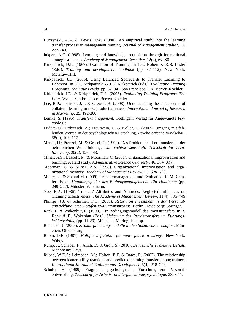- Huczynski, A.A. & Lewis, J.W. (1980). An empirical study into the learning transfer process in management training. *Journal of Management Studies*, 17, 227-240.
- Inkpen, A.C. (1998). Learning and knowledge acquisition through international strategic alliances. *Academy of Management Executive*, 12(4), 69−80.
- Kirkpatrick, D.L. (1967). Evaluation of Training. In L.C. Robert & R.B. Lester (Eds.), *Training and development handbook* (pp. 87–112). New York: McGraw-Hill.
- Kirkpatrick, J.D. (2006). Using Balanced Scorecards to Transfer Learning to Behavior. In D.L. Kirkpatrick & J.D. Kirkpatrick (Eds.), *Evaluating Training Programs. The Four Levels* (pp. 82–94). San Francisco, CA: Berrett-Koehler.
- Kirkpatrick, J.D. & Kirkpatrick, D.L. (2006). *Evaluating Training Programs. The Four Levels*. San Francisco: Berrett-Koehler.
- Lee, R.P.; Johnson, J.L. & Grewal, R. (2008). Understanding the antecedents of collateral learning in new product alliances. *International Journal of Research in Marketing*, 25, 192-200.
- Lemke, S. (1995). *Transfermanagement*. Göttingen: Verlag für Angewandte Psychologie.
- Lüdtke, O.; Robitzsch, A.; Trautwein, U. & Köller, O. (2007). Umgang mit fehlenden Werten in der psychologischen Forschung. *Psychologische Rundschau*, 58(2), 103–117.
- Mandl, H.; Prenzel, M. & Gräsel, C. (1992). Das Problem des Lerntransfers in der betrieblichen Weiterbildung. *Unterrichtswissenschaft: Zeitschrift für Lernforschung*, 20(2), 126–143.
- Miner, A.S.; Bassoff, P., & Moorman, C. (2001). Organizational improvisation and learning: A field study. *Administrative Science Quarterly*, 46, 304−337.
- Moorman, C. & Miner, A.S. (1998). Organizational improvisation and organizational memory. *Academy of Management Review*, 23, 698−723.
- Müller, U. & Soland M. (2009). Transfermanagement und Evaluation. In M. Gessler (Eds.), *Handlungsfelder des Bildungsmanagements. Ein Handbuch* (pp. 249–277). Münster: Waxmann.
- Noe, R.A. (1986). Trainees' Attributes and Attitudes: Neglected Influences on Training Effectiveness. *The Academy of Management Review*, 11(4), 736–749.
- Phillips, J.J. & Schirmer, F.C. (2008). *Return on Investment in der Personalentwicklung. Der 5-Stufen-Evaluationsprozess*. Berlin, Heidelberg: Springer.
- Rank, B. & Wakenhut, R. (1998). Ein Bedingungsmodell des Praxistransfers. In B. Rank & R. Wakenhut (Eds.), *Sicherung des Praxistransfers im Führungskräftetraining* (pp. 11-29). München; Mering: Hampp.
- Reinecke, J. (2005). *Strukturgleichungsmodelle in den Sozialwissenschaften*. München: Oldenbourg.
- Rubin, D.B. (1987). *Multiple imputation for nonresponse in surveys*. New York: Wiley.
- Rump, J., Schabel, F., Alich, D. & Groh, S. (2010). *Betriebliche Projektwirtschaft*. Mannheim: Hays.
- Ruona, W.E.A; Leimbach, M.; Holton, E.F. & Bates, R. (2002). The relationship between leaner utility reactions and predicted learning transfer among trainees. *International Journal of Training and Development*, 6(4), 218–228.
- Schuler, H. (1989). Fragmente psychologischer Forschung zur Personalentwicklung. *Zeitschrift für Arbeits- und Organsiationspsychologie*, 33, 3-11.

IJRVET 2014